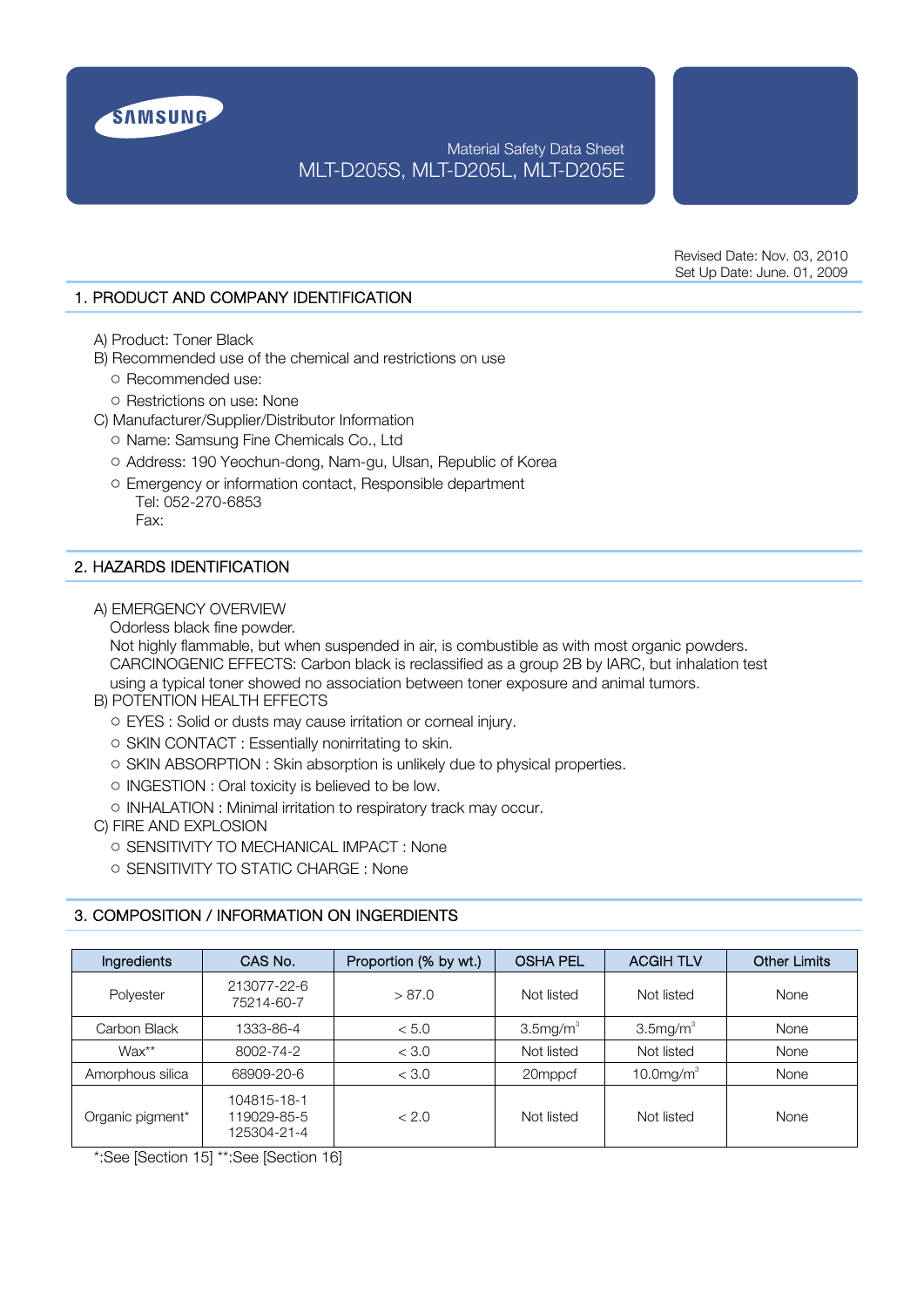

# Material Safety Data Sheet MLT-D205S, MLT-D205L, MLT-D205E

Revised Date: Nov. 03, 2010 Set Up Date: June. 01, 2009

# 1. PRODUCT AND COMPANY IDENTIFICATION

- A) Product: Toner Black
- B) Recommended use of the chemical and restrictions on use
	- **○** Recommended use:
	- **○** Restrictions on use: None
- C) Manufacturer/Supplier/Distributor Information
	- **○** Name: Samsung Fine Chemicals Co., Ltd
	- **○** Address: 190 Yeochun-dong, Nam-gu, Ulsan, Republic of Korea
	- **○** Emergency or information contact, Responsible department Tel: 052-270-6853 Fax:

# 2. HAZARDS IDENTIFICATION

- A) EMERGENCY OVERVIEW
	- Odorless black fine powder.

 Not highly flammable, but when suspended in air, is combustible as with most organic powders. CARCINOGENIC EFFECTS: Carbon black is reclassified as a group 2B by IARC, but inhalation test using a typical toner showed no association between toner exposure and animal tumors.

- B) POTENTION HEALTH EFFECTS
	- **○** EYES : Solid or dusts may cause irritation or corneal injury.
	- **○** SKIN CONTACT : Essentially nonirritating to skin.
	- **○** SKIN ABSORPTION : Skin absorption is unlikely due to physical properties.
	- **○** INGESTION : Oral toxicity is believed to be low.
	- **○** INHALATION : Minimal irritation to respiratory track may occur.
- C) FIRE AND EXPLOSION
	- **○** SENSITIVITY TO MECHANICAL IMPACT : None
	- **○** SENSITIVITY TO STATIC CHARGE : None

# 3. COMPOSITION / INFORMATION ON INGERDIENTS

| Ingredients      | CAS No.                                   | Proportion (% by wt.) | <b>OSHA PEL</b>  | <b>ACGIH TLV</b> | <b>Other Limits</b> |
|------------------|-------------------------------------------|-----------------------|------------------|------------------|---------------------|
| Polyester        | 213077-22-6<br>75214-60-7                 | > 87.0                | Not listed       | Not listed       | None                |
| Carbon Black     | 1333-86-4                                 | < 5.0                 | $3.5$ mg/m $3.5$ | $3.5$ mg/m $3.5$ | None                |
| $Wax**$          | 8002-74-2                                 | < 3.0                 | Not listed       | Not listed       | None                |
| Amorphous silica | 68909-20-6                                | < 3.0                 | 20mppcf          | 10.0 $mg/m3$     | None                |
| Organic pigment* | 104815-18-1<br>119029-85-5<br>125304-21-4 | < 2.0                 | Not listed       | Not listed       | None                |

\*:See [Section 15] \*\*:See [Section 16]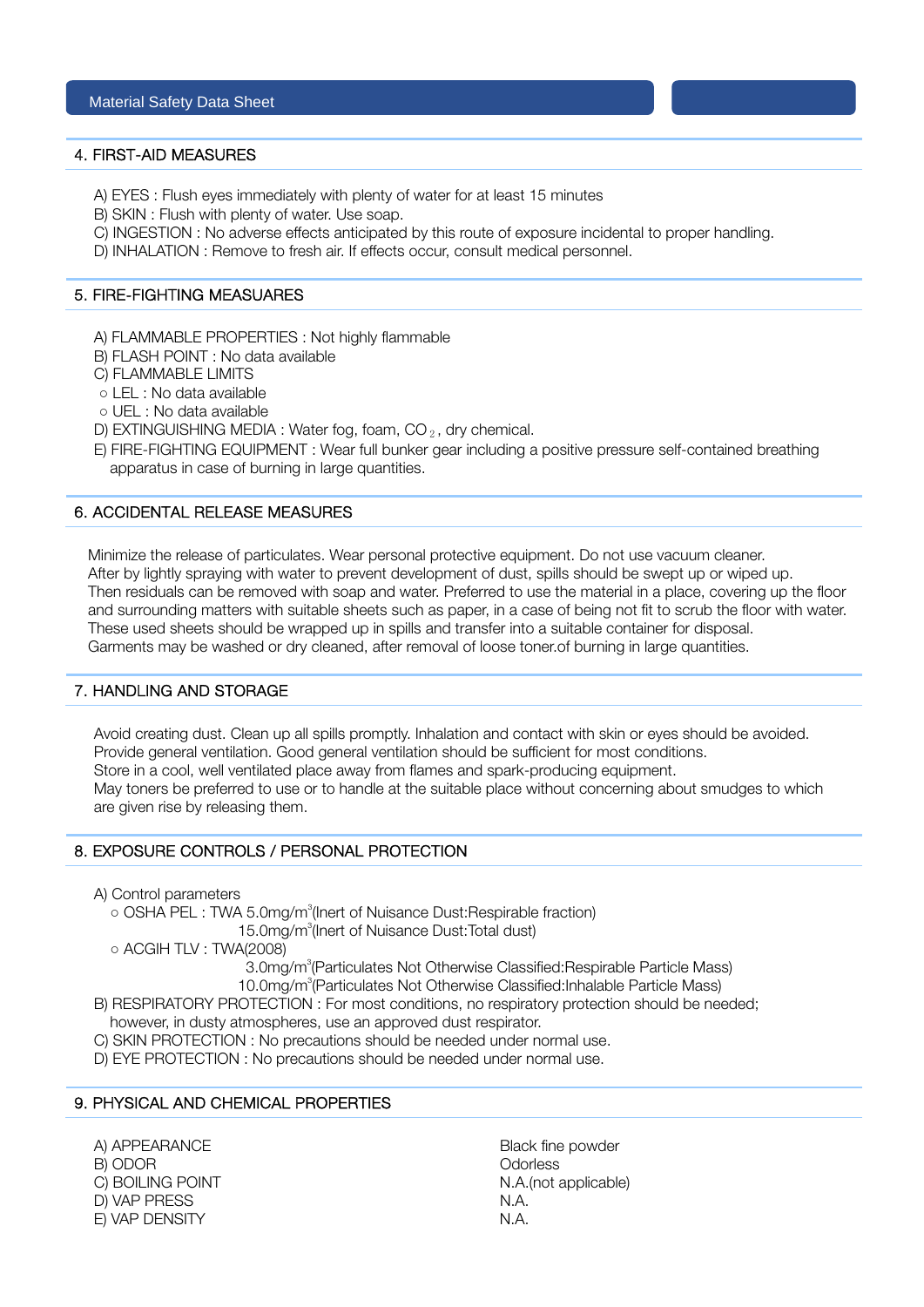#### 4. FIRST-AID MEASURES

- A) EYES : Flush eyes immediately with plenty of water for at least 15 minutes
- B) SKIN : Flush with plenty of water. Use soap.
- C) INGESTION : No adverse effects anticipated by this route of exposure incidental to proper handling.
- D) INHALATION : Remove to fresh air. If effects occur, consult medical personnel.

#### 5. FIRE-FIGHTING MEASUARES

- A) FLAMMABLE PROPERTIES : Not highly flammable
- B) FLASH POINT : No data available
- C) FLAMMABLE LIMITS
- **○** LEL : No data available
- **○** UEL : No data available
- D) EXTINGUISHING MEDIA : Water fog, foam,  $CO_2$ , dry chemical.
- E) FIRE-FIGHTING EQUIPMENT : Wear full bunker gear including a positive pressure self-contained breathing apparatus in case of burning in large quantities.

## 6. ACCIDENTAL RELEASE MEASURES

 Minimize the release of particulates. Wear personal protective equipment. Do not use vacuum cleaner. After by lightly spraying with water to prevent development of dust, spills should be swept up or wiped up. Then residuals can be removed with soap and water. Preferred to use the material in a place, covering up the floor and surrounding matters with suitable sheets such as paper, in a case of being not fit to scrub the floor with water. These used sheets should be wrapped up in spills and transfer into a suitable container for disposal. Garments may be washed or dry cleaned, after removal of loose toner.of burning in large quantities.

# 7. HANDLING AND STORAGE

 Avoid creating dust. Clean up all spills promptly. Inhalation and contact with skin or eyes should be avoided. Provide general ventilation. Good general ventilation should be sufficient for most conditions. Store in a cool, well ventilated place away from flames and spark-producing equipment. May toners be preferred to use or to handle at the suitable place without concerning about smudges to which are given rise by releasing them.

#### 8. EXPOSURE CONTROLS / PERSONAL PROTECTION

A) Control parameters

o OSHA PEL : TWA 5.0mg/m<sup>3</sup>(lnert of Nuisance Dust:Respirable fraction)

15.0mg/m<sup>3</sup>(Inert of Nuisance Dust:Total dust)

**○** ACGIH TLV : TWA(2008)

3.0mg/m<sup>3</sup>(Particulates Not Otherwise Classified:Respirable Particle Mass)

10.0mg/m<sup>3</sup>(Particulates Not Otherwise Classified:Inhalable Particle Mass)

B) RESPIRATORY PROTECTION : For most conditions, no respiratory protection should be needed;

- however, in dusty atmospheres, use an approved dust respirator.
- C) SKIN PROTECTION : No precautions should be needed under normal use.

D) EYE PROTECTION : No precautions should be needed under normal use.

# 9. PHYSICAL AND CHEMICAL PROPERTIES

A) APPEARANCE Black fine powder B) ODOR Odorless D) VAP PRESS N.A. E) VAP DENSITY N.A.

C) BOILING POINT N.A.(not applicable)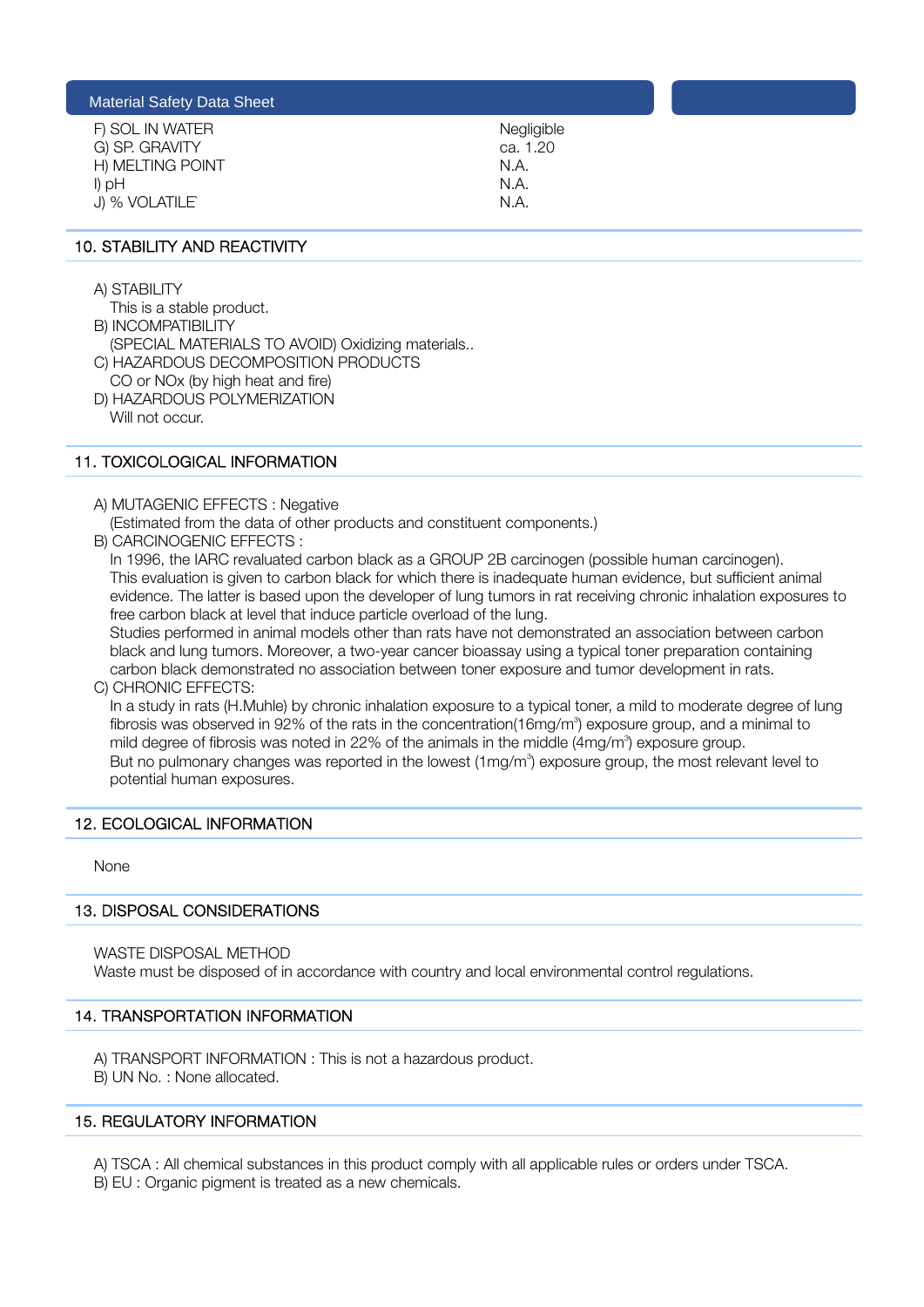| Negligible |
|------------|
| ca. 1.20   |
| N.A.       |
| N.A.       |
| N A        |
|            |

# 10. STABILITY AND REACTIVITY

A) STABILITY

This is a stable product.

- B) INCOMPATIBILITY
- (SPECIAL MATERIALS TO AVOID) Oxidizing materials.. C) HAZARDOUS DECOMPOSITION PRODUCTS
- CO or NOx (by high heat and fire) D) HAZARDOUS POLYMERIZATION Will not occur.

# 11. TOXICOLOGICAL INFORMATION

- A) MUTAGENIC EFFECTS : Negative
	- (Estimated from the data of other products and constituent components.)
- B) CARCINOGENIC EFFECTS :

 In 1996, the IARC revaluated carbon black as a GROUP 2B carcinogen (possible human carcinogen). This evaluation is given to carbon black for which there is inadequate human evidence, but sufficient animal evidence. The latter is based upon the developer of lung tumors in rat receiving chronic inhalation exposures to free carbon black at level that induce particle overload of the lung.

 Studies performed in animal models other than rats have not demonstrated an association between carbon black and lung tumors. Moreover, a two-year cancer bioassay using a typical toner preparation containing carbon black demonstrated no association between toner exposure and tumor development in rats. C) CHRONIC EFFECTS:

 In a study in rats (H.Muhle) by chronic inhalation exposure to a typical toner, a mild to moderate degree of lung fibrosis was observed in 92% of the rats in the concentration(16mg/m<sup>3</sup>) exposure group, and a minimal to mild degree of fibrosis was noted in 22% of the animals in the middle (4mg/m<sup>3</sup>) exposure group. But no pulmonary changes was reported in the lowest (1mg/m<sup>3</sup>) exposure group, the most relevant level to potential human exposures.

# 12. ECOLOGICAL INFORMATION

None

#### 13. DISPOSAL CONSIDERATIONS

WASTE DISPOSAL METHOD

Waste must be disposed of in accordance with country and local environmental control regulations.

# 14. TRANSPORTATION INFORMATION

 A) TRANSPORT INFORMATION : This is not a hazardous product. B) UN No. : None allocated.

# 15. REGULATORY INFORMATION

A) TSCA : All chemical substances in this product comply with all applicable rules or orders under TSCA.

B) EU : Organic pigment is treated as a new chemicals.